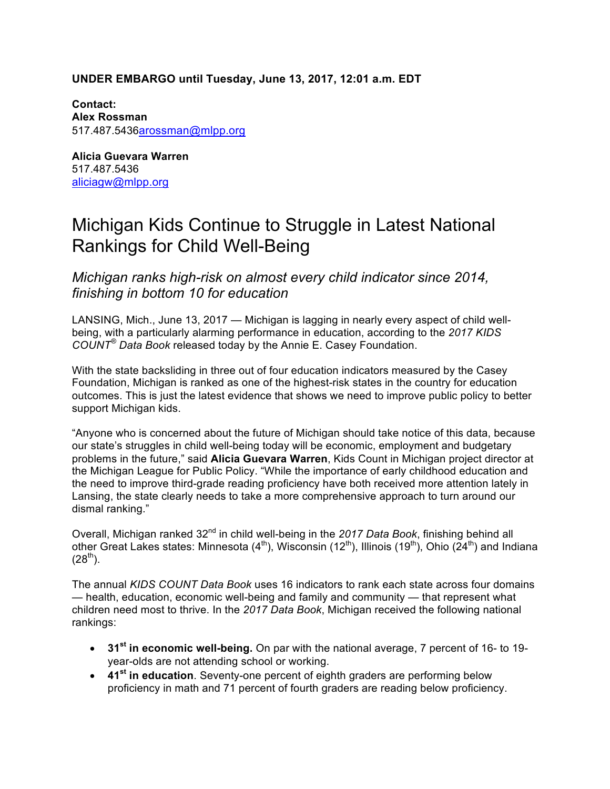# **UNDER EMBARGO until Tuesday, June 13, 2017, 12:01 a.m. EDT**

**Contact: Alex Rossman**  517.487.5436arossman@mlpp.org

**Alicia Guevara Warren** 517.487.5436 aliciagw@mlpp.org

# Michigan Kids Continue to Struggle in Latest National Rankings for Child Well-Being

*Michigan ranks high-risk on almost every child indicator since 2014, finishing in bottom 10 for education*

LANSING, Mich., June 13, 2017 — Michigan is lagging in nearly every aspect of child wellbeing, with a particularly alarming performance in education, according to the *2017 KIDS COUNT® Data Book* released today by the Annie E. Casey Foundation.

With the state backsliding in three out of four education indicators measured by the Casey Foundation, Michigan is ranked as one of the highest-risk states in the country for education outcomes. This is just the latest evidence that shows we need to improve public policy to better support Michigan kids.

"Anyone who is concerned about the future of Michigan should take notice of this data, because our state's struggles in child well-being today will be economic, employment and budgetary problems in the future," said **Alicia Guevara Warren**, Kids Count in Michigan project director at the Michigan League for Public Policy. "While the importance of early childhood education and the need to improve third-grade reading proficiency have both received more attention lately in Lansing, the state clearly needs to take a more comprehensive approach to turn around our dismal ranking."

Overall, Michigan ranked 32nd in child well-being in the *2017 Data Book*, finishing behind all other Great Lakes states: Minnesota  $(4<sup>th</sup>)$ , Wisconsin (12<sup>th</sup>), Illinois (19<sup>th</sup>), Ohio (24<sup>th</sup>) and Indiana  $(28^{th})$ .

The annual *KIDS COUNT Data Book* uses 16 indicators to rank each state across four domains — health, education, economic well-being and family and community — that represent what children need most to thrive. In the *2017 Data Book*, Michigan received the following national rankings:

- **31st in economic well-being.** On par with the national average, 7 percent of 16- to 19 year-olds are not attending school or working.
- **41st in education**. Seventy-one percent of eighth graders are performing below proficiency in math and 71 percent of fourth graders are reading below proficiency.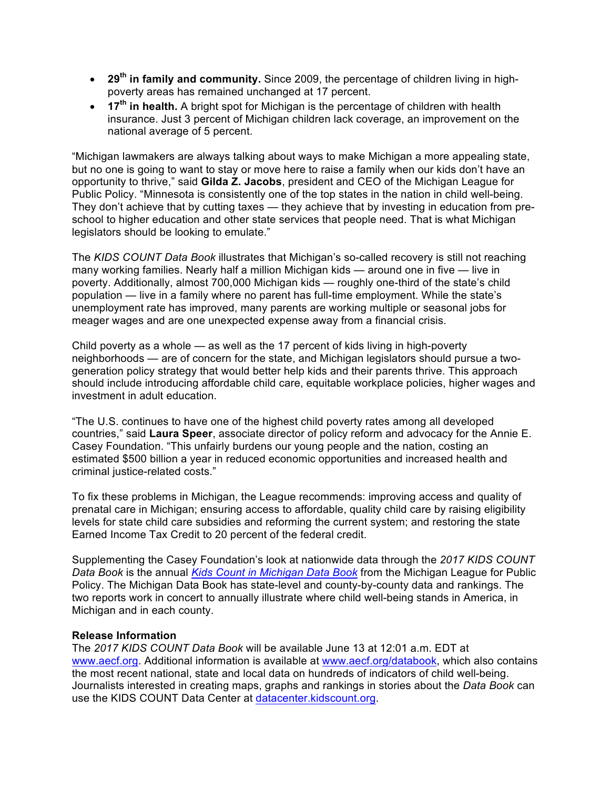- **29th in family and community.** Since 2009, the percentage of children living in highpoverty areas has remained unchanged at 17 percent.
- **17th in health.** A bright spot for Michigan is the percentage of children with health insurance. Just 3 percent of Michigan children lack coverage, an improvement on the national average of 5 percent.

"Michigan lawmakers are always talking about ways to make Michigan a more appealing state, but no one is going to want to stay or move here to raise a family when our kids don't have an opportunity to thrive," said **Gilda Z. Jacobs**, president and CEO of the Michigan League for Public Policy. "Minnesota is consistently one of the top states in the nation in child well-being. They don't achieve that by cutting taxes — they achieve that by investing in education from preschool to higher education and other state services that people need. That is what Michigan legislators should be looking to emulate."

The *KIDS COUNT Data Book* illustrates that Michigan's so-called recovery is still not reaching many working families. Nearly half a million Michigan kids — around one in five — live in poverty. Additionally, almost 700,000 Michigan kids — roughly one-third of the state's child population — live in a family where no parent has full-time employment. While the state's unemployment rate has improved, many parents are working multiple or seasonal jobs for meager wages and are one unexpected expense away from a financial crisis.

Child poverty as a whole — as well as the 17 percent of kids living in high-poverty neighborhoods — are of concern for the state, and Michigan legislators should pursue a twogeneration policy strategy that would better help kids and their parents thrive. This approach should include introducing affordable child care, equitable workplace policies, higher wages and investment in adult education.

"The U.S. continues to have one of the highest child poverty rates among all developed countries," said **Laura Speer**, associate director of policy reform and advocacy for the Annie E. Casey Foundation. "This unfairly burdens our young people and the nation, costing an estimated \$500 billion a year in reduced economic opportunities and increased health and criminal justice-related costs."

To fix these problems in Michigan, the League recommends: improving access and quality of prenatal care in Michigan; ensuring access to affordable, quality child care by raising eligibility levels for state child care subsidies and reforming the current system; and restoring the state Earned Income Tax Credit to 20 percent of the federal credit.

Supplementing the Casey Foundation's look at nationwide data through the *2017 KIDS COUNT Data Book* is the annual *Kids Count in Michigan Data Book* from the Michigan League for Public Policy. The Michigan Data Book has state-level and county-by-county data and rankings. The two reports work in concert to annually illustrate where child well-being stands in America, in Michigan and in each county.

## **Release Information**

The *2017 KIDS COUNT Data Book* will be available June 13 at 12:01 a.m. EDT at www.aecf.org. Additional information is available at www.aecf.org/databook, which also contains the most recent national, state and local data on hundreds of indicators of child well-being. Journalists interested in creating maps, graphs and rankings in stories about the *Data Book* can use the KIDS COUNT Data Center at datacenter.kidscount.org.